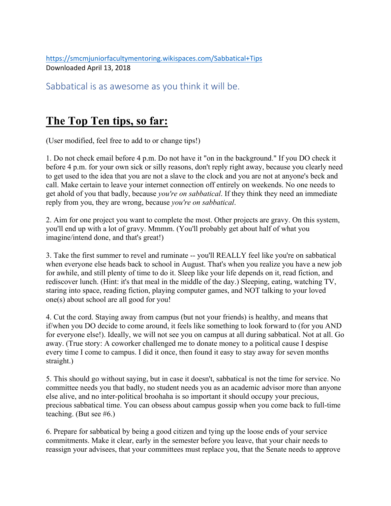https://smcmjuniorfacultymentoring.wikispaces.com/Sabbatical+Tips Downloaded April 13, 2018

Sabbatical is as awesome as you think it will be.

## **The Top Ten tips, so far:**

(User modified, feel free to add to or change tips!)

1. Do not check email before 4 p.m. Do not have it "on in the background." If you DO check it before 4 p.m. for your own sick or silly reasons, don't reply right away, because you clearly need to get used to the idea that you are not a slave to the clock and you are not at anyone's beck and call. Make certain to leave your internet connection off entirely on weekends. No one needs to get ahold of you that badly, because *you're on sabbatical*. If they think they need an immediate reply from you, they are wrong, because *you're on sabbatical*.

2. Aim for one project you want to complete the most. Other projects are gravy. On this system, you'll end up with a lot of gravy. Mmmm. (You'll probably get about half of what you imagine/intend done, and that's great!)

3. Take the first summer to revel and ruminate -- you'll REALLY feel like you're on sabbatical when everyone else heads back to school in August. That's when you realize you have a new job for awhile, and still plenty of time to do it. Sleep like your life depends on it, read fiction, and rediscover lunch. (Hint: it's that meal in the middle of the day.) Sleeping, eating, watching TV, staring into space, reading fiction, playing computer games, and NOT talking to your loved one(s) about school are all good for you!

4. Cut the cord. Staying away from campus (but not your friends) is healthy, and means that if/when you DO decide to come around, it feels like something to look forward to (for you AND for everyone else!). Ideally, we will not see you on campus at all during sabbatical. Not at all. Go away. (True story: A coworker challenged me to donate money to a political cause I despise every time I come to campus. I did it once, then found it easy to stay away for seven months straight.)

5. This should go without saying, but in case it doesn't, sabbatical is not the time for service. No committee needs you that badly, no student needs you as an academic advisor more than anyone else alive, and no inter-political broohaha is so important it should occupy your precious, precious sabbatical time. You can obsess about campus gossip when you come back to full-time teaching. (But see #6.)

6. Prepare for sabbatical by being a good citizen and tying up the loose ends of your service commitments. Make it clear, early in the semester before you leave, that your chair needs to reassign your advisees, that your committees must replace you, that the Senate needs to approve